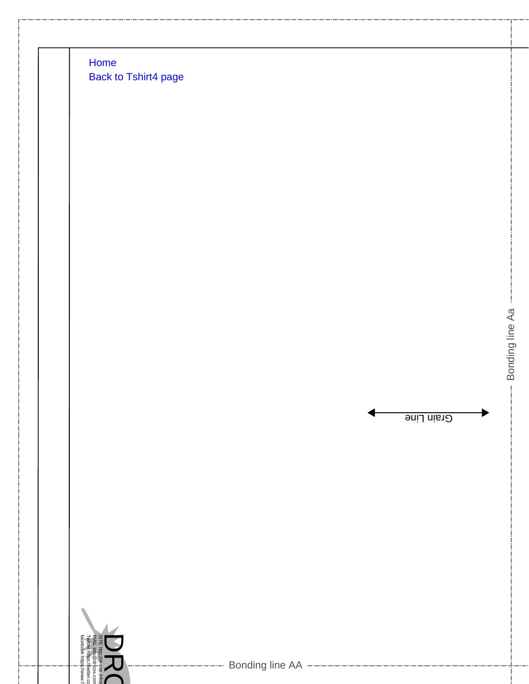Home Back to Tshirt4 page

i witter i itups:<br>facebook https

 $M$ 



Bonding line Aa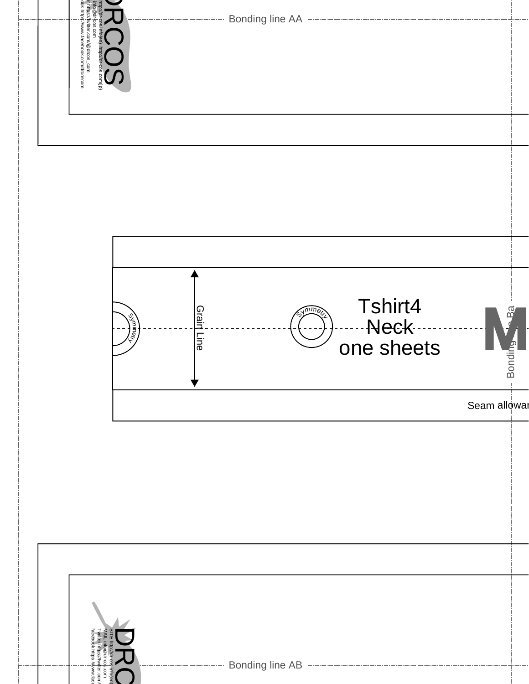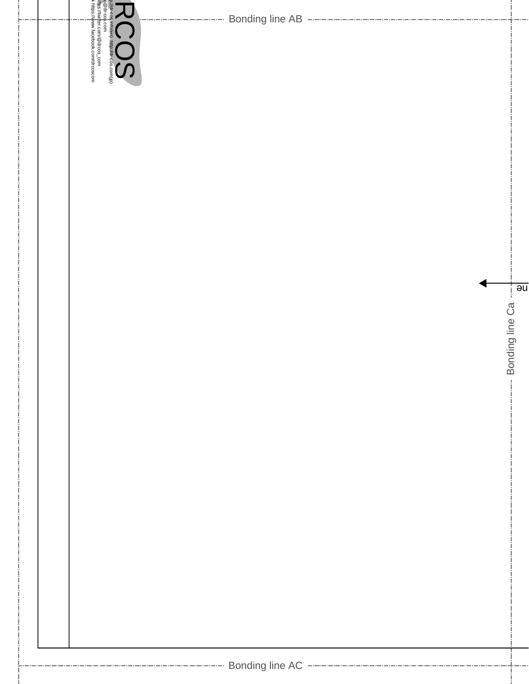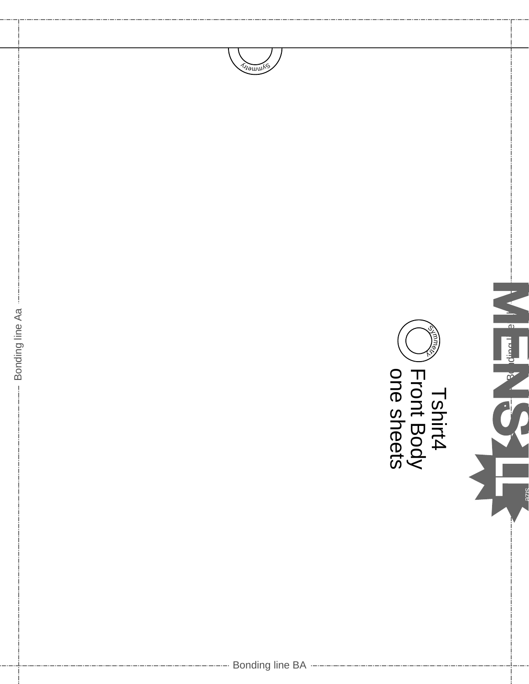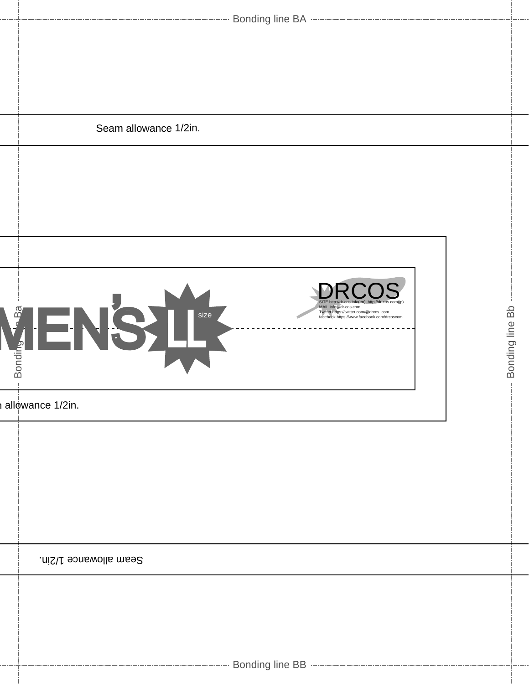|                                                   | Seam allowance 1/2in.                                                                                                                                                                     |                 |
|---------------------------------------------------|-------------------------------------------------------------------------------------------------------------------------------------------------------------------------------------------|-----------------|
|                                                   |                                                                                                                                                                                           |                 |
|                                                   |                                                                                                                                                                                           |                 |
| $B\overline{a}$<br><b>Bonding</b><br>$\mathbb{I}$ | SITE http://dr-cos.info(en) http://dr-cos.com(jp)<br>MAIL info@dr-cos.com<br>size<br>Twitter https://twitter.com/@drcos_com<br>$\leftarrow$<br>facebook https://www.facebook.com/drcoscom | Bonding line Bb |
|                                                   | allowance 1/2in.                                                                                                                                                                          |                 |
|                                                   |                                                                                                                                                                                           |                 |
|                                                   | Seam allowance 1/2in.                                                                                                                                                                     |                 |
|                                                   |                                                                                                                                                                                           |                 |
|                                                   |                                                                                                                                                                                           |                 |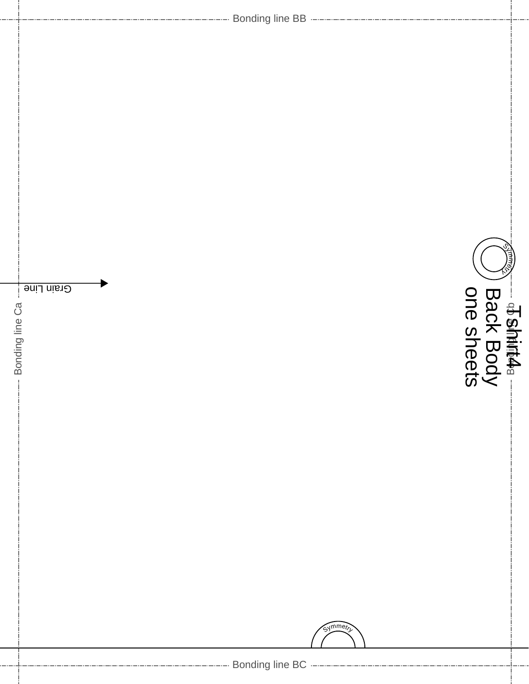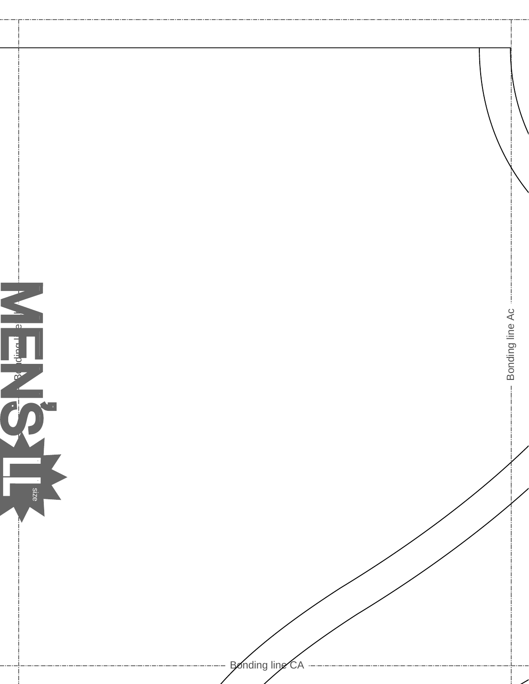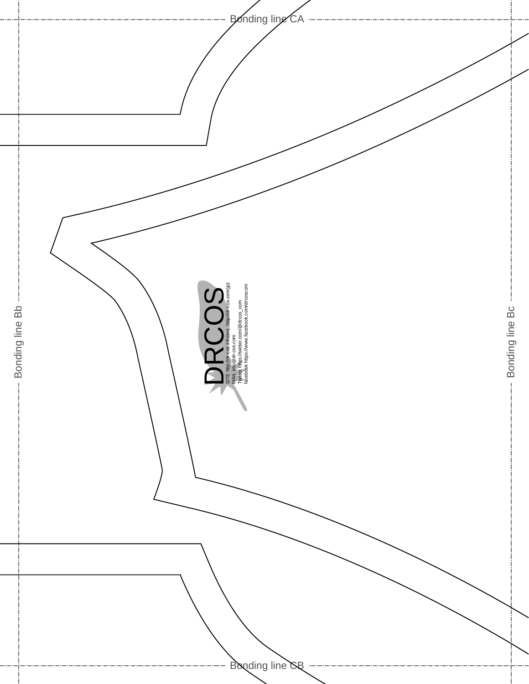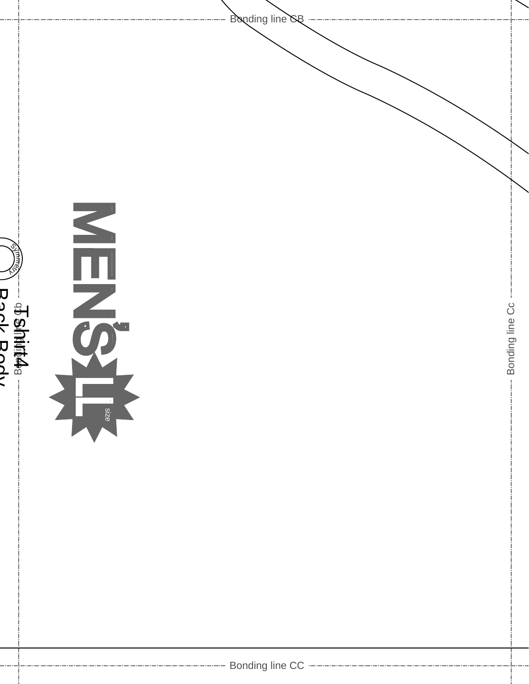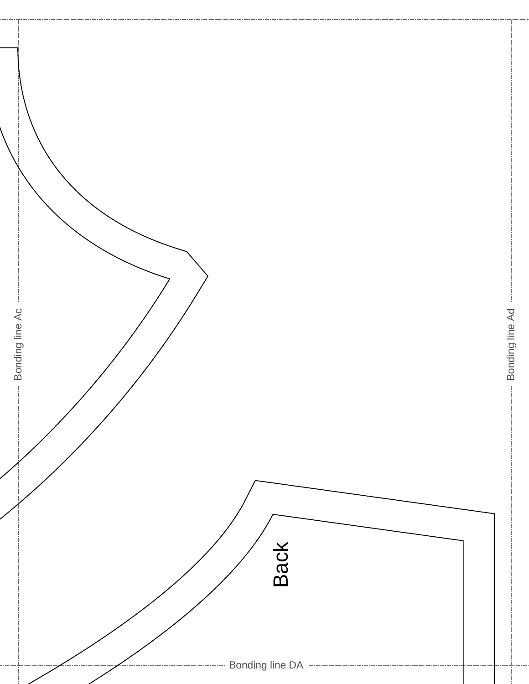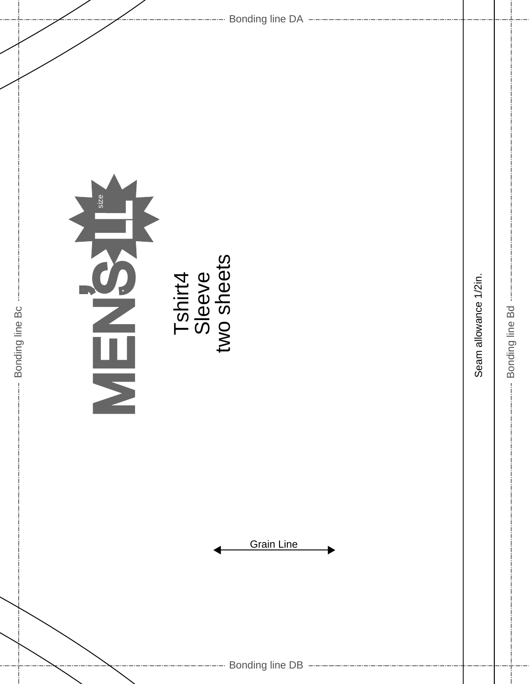